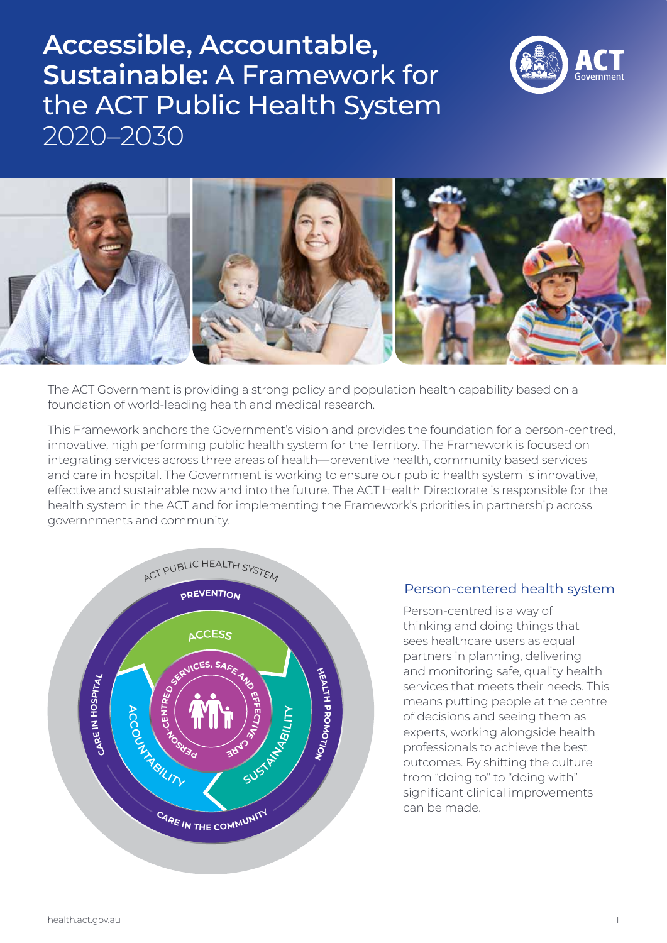# **Accessible, Accountable, Sustainable:** A Framework for the ACT Public Health System 2020–2030





The ACT Government is providing a strong policy and population health capability based on a foundation of world-leading health and medical research.

This Framework anchors the Government's vision and provides the foundation for a person-centred, innovative, high performing public health system for the Territory. The Framework is focused on integrating services across three areas of health—preventive health, community based services and care in hospital. The Government is working to ensure our public health system is innovative, effective and sustainable now and into the future. The ACT Health Directorate is responsible for the health system in the ACT and for implementing the Framework's priorities in partnership across governnments and community.



### Person-centered health system

Person-centred is a way of thinking and doing things that sees healthcare users as equal partners in planning, delivering and monitoring safe, quality health services that meets their needs. This means putting people at the centre of decisions and seeing them as experts, working alongside health professionals to achieve the best outcomes. By shifting the culture from "doing to" to "doing with" significant clinical improvements can be made.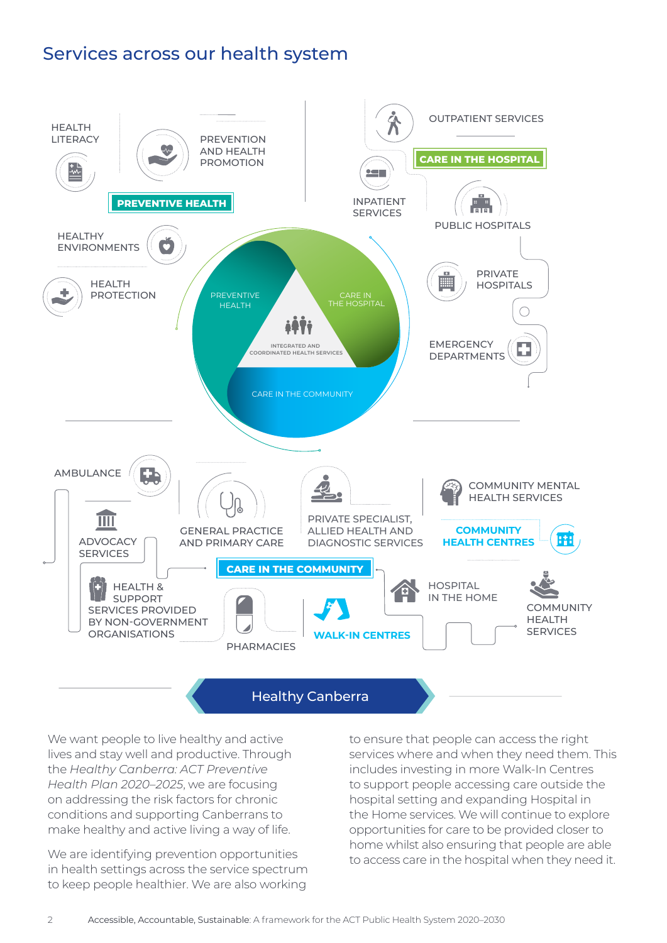## Services across our health system



### Healthy Canberra

We want people to live healthy and active lives and stay well and productive. Through the *Healthy Canberra: ACT Preventive Health Plan 2020–2025*, we are focusing on addressing the risk factors for chronic conditions and supporting Canberrans to make healthy and active living a way of life.

We are identifying prevention opportunities in health settings across the service spectrum to keep people healthier. We are also working

to ensure that people can access the right services where and when they need them. This includes investing in more Walk-In Centres to support people accessing care outside the hospital setting and expanding Hospital in the Home services. We will continue to explore opportunities for care to be provided closer to home whilst also ensuring that people are able to access care in the hospital when they need it.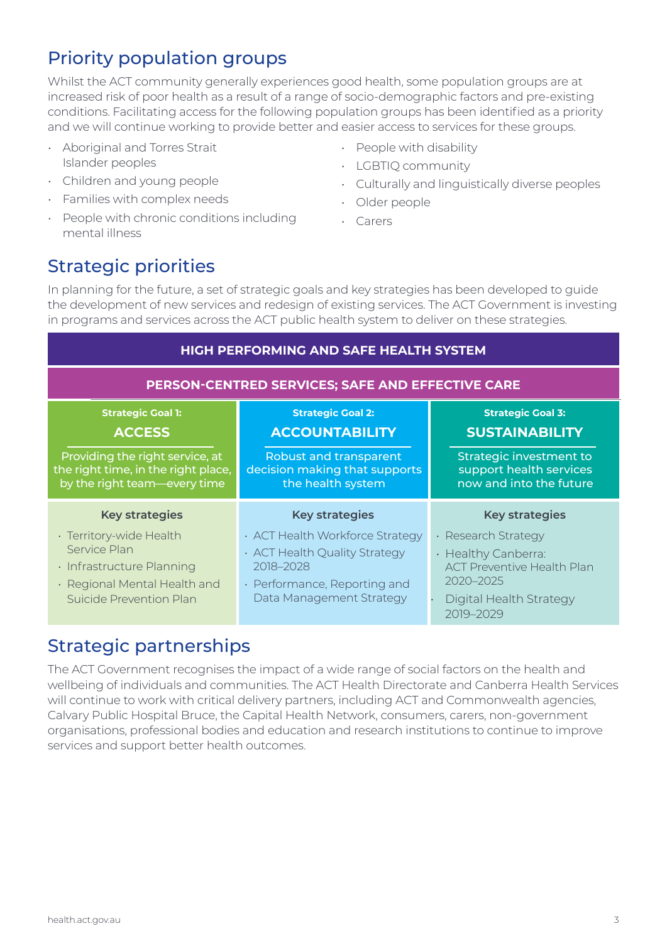# Priority population groups

Whilst the ACT community generally experiences good health, some population groups are at increased risk of poor health as a result of a range of socio-demographic factors and pre-existing conditions. Facilitating access for the following population groups has been identified as a priority and we will continue working to provide better and easier access to services for these groups.

- Aboriginal and Torres Strait Islander peoples
- Children and young people
- Families with complex needs
- People with chronic conditions including mental illness
- People with disability
- LGBTIQ community
- Culturally and linguistically diverse peoples
- Older people
- Carers

## Strategic priorities

In planning for the future, a set of strategic goals and key strategies has been developed to guide the development of new services and redesign of existing services. The ACT Government is investing in programs and services across the ACT public health system to deliver on these strategies.

| HIGH PERFORMING AND SAFE HEALTH SYSTEM                                                                                          |                                                                                                                                           |                                                                                                                                      |  |
|---------------------------------------------------------------------------------------------------------------------------------|-------------------------------------------------------------------------------------------------------------------------------------------|--------------------------------------------------------------------------------------------------------------------------------------|--|
| PERSON-CENTRED SERVICES; SAFE AND EFFECTIVE CARE                                                                                |                                                                                                                                           |                                                                                                                                      |  |
| <b>Strategic Goal 1:</b><br><b>ACCESS</b>                                                                                       | <b>Strategic Goal 2:</b><br><b>ACCOUNTABILITY</b>                                                                                         | <b>Strategic Goal 3:</b><br><b>SUSTAINABILITY</b>                                                                                    |  |
| Providing the right service, at<br>the right time, in the right place,<br>by the right team-every time                          | Robust and transparent<br>decision making that supports<br>the health system                                                              | Strategic investment to<br>support health services<br>now and into the future                                                        |  |
| <b>Key strategies</b>                                                                                                           | <b>Key strategies</b>                                                                                                                     | <b>Key strategies</b>                                                                                                                |  |
| · Territory-wide Health<br>Service Plan<br>· Infrastructure Planning<br>· Regional Mental Health and<br>Suicide Prevention Plan | · ACT Health Workforce Strategy<br>· ACT Health Quality Strategy<br>2018-2028<br>· Performance, Reporting and<br>Data Management Strategy | · Research Strategy<br>· Healthy Canberra:<br><b>ACT Preventive Health Plan</b><br>2020-2025<br>Digital Health Strategy<br>2019-2029 |  |

### Strategic partnerships

The ACT Government recognises the impact of a wide range of social factors on the health and wellbeing of individuals and communities. The ACT Health Directorate and Canberra Health Services will continue to work with critical delivery partners, including ACT and Commonwealth agencies, Calvary Public Hospital Bruce, the Capital Health Network, consumers, carers, non-government organisations, professional bodies and education and research institutions to continue to improve services and support better health outcomes.